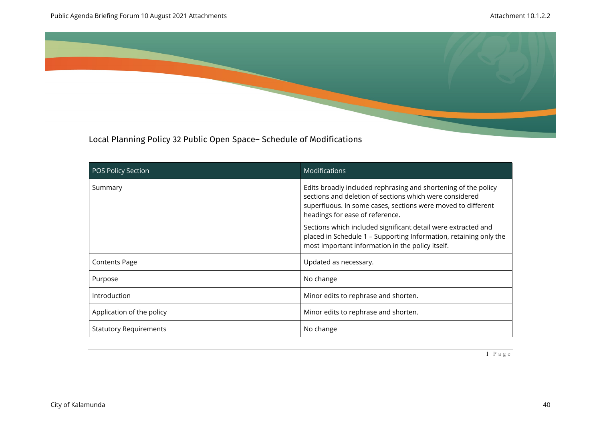

Local Planning Policy 32 Public Open Space– Schedule of Modifications

| <b>POS Policy Section</b>     | <b>Modifications</b>                                                                                                                                                                                                         |
|-------------------------------|------------------------------------------------------------------------------------------------------------------------------------------------------------------------------------------------------------------------------|
| Summary                       | Edits broadly included rephrasing and shortening of the policy<br>sections and deletion of sections which were considered<br>superfluous. In some cases, sections were moved to different<br>headings for ease of reference. |
|                               | Sections which included significant detail were extracted and<br>placed in Schedule 1 - Supporting Information, retaining only the<br>most important information in the policy itself.                                       |
| <b>Contents Page</b>          | Updated as necessary.                                                                                                                                                                                                        |
| Purpose                       | No change                                                                                                                                                                                                                    |
| Introduction                  | Minor edits to rephrase and shorten.                                                                                                                                                                                         |
| Application of the policy     | Minor edits to rephrase and shorten.                                                                                                                                                                                         |
| <b>Statutory Requirements</b> | No change                                                                                                                                                                                                                    |

 $1 | P a g e$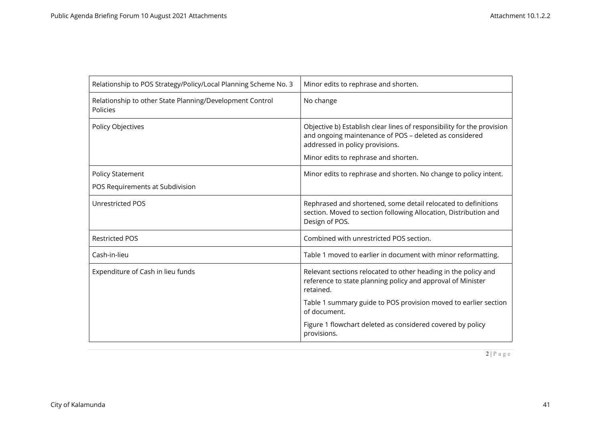| Relationship to POS Strategy/Policy/Local Planning Scheme No. 3      | Minor edits to rephrase and shorten.                                                                                                                                                                        |
|----------------------------------------------------------------------|-------------------------------------------------------------------------------------------------------------------------------------------------------------------------------------------------------------|
| Relationship to other State Planning/Development Control<br>Policies | No change                                                                                                                                                                                                   |
| Policy Objectives                                                    | Objective b) Establish clear lines of responsibility for the provision<br>and ongoing maintenance of POS - deleted as considered<br>addressed in policy provisions.<br>Minor edits to rephrase and shorten. |
| <b>Policy Statement</b>                                              | Minor edits to rephrase and shorten. No change to policy intent.                                                                                                                                            |
| POS Requirements at Subdivision                                      |                                                                                                                                                                                                             |
| <b>Unrestricted POS</b>                                              | Rephrased and shortened, some detail relocated to definitions<br>section. Moved to section following Allocation, Distribution and<br>Design of POS.                                                         |
| <b>Restricted POS</b>                                                | Combined with unrestricted POS section.                                                                                                                                                                     |
| Cash-in-lieu                                                         | Table 1 moved to earlier in document with minor reformatting.                                                                                                                                               |
| Expenditure of Cash in lieu funds                                    | Relevant sections relocated to other heading in the policy and<br>reference to state planning policy and approval of Minister<br>retained.                                                                  |
|                                                                      | Table 1 summary guide to POS provision moved to earlier section<br>of document.                                                                                                                             |
|                                                                      | Figure 1 flowchart deleted as considered covered by policy<br>provisions.                                                                                                                                   |

 $2 | P a g e$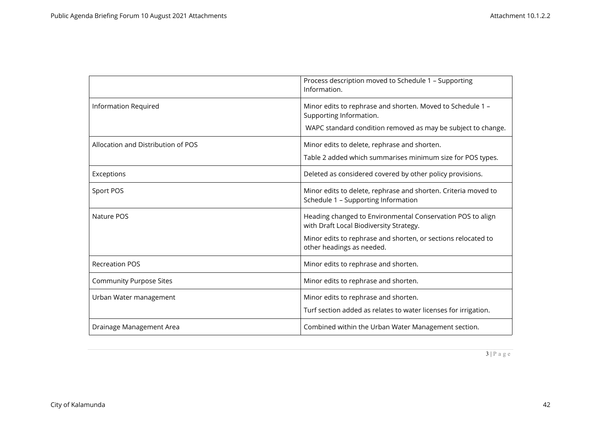|                                    | Process description moved to Schedule 1 - Supporting<br>Information.                                                                                                                                |
|------------------------------------|-----------------------------------------------------------------------------------------------------------------------------------------------------------------------------------------------------|
| <b>Information Required</b>        | Minor edits to rephrase and shorten. Moved to Schedule 1 -<br>Supporting Information.<br>WAPC standard condition removed as may be subject to change.                                               |
| Allocation and Distribution of POS | Minor edits to delete, rephrase and shorten.<br>Table 2 added which summarises minimum size for POS types.                                                                                          |
| Exceptions                         | Deleted as considered covered by other policy provisions.                                                                                                                                           |
| Sport POS                          | Minor edits to delete, rephrase and shorten. Criteria moved to<br>Schedule 1 - Supporting Information                                                                                               |
| Nature POS                         | Heading changed to Environmental Conservation POS to align<br>with Draft Local Biodiversity Strategy.<br>Minor edits to rephrase and shorten, or sections relocated to<br>other headings as needed. |
| <b>Recreation POS</b>              | Minor edits to rephrase and shorten.                                                                                                                                                                |
| <b>Community Purpose Sites</b>     | Minor edits to rephrase and shorten.                                                                                                                                                                |
| Urban Water management             | Minor edits to rephrase and shorten.<br>Turf section added as relates to water licenses for irrigation.                                                                                             |
| Drainage Management Area           | Combined within the Urban Water Management section.                                                                                                                                                 |

3 | P a g e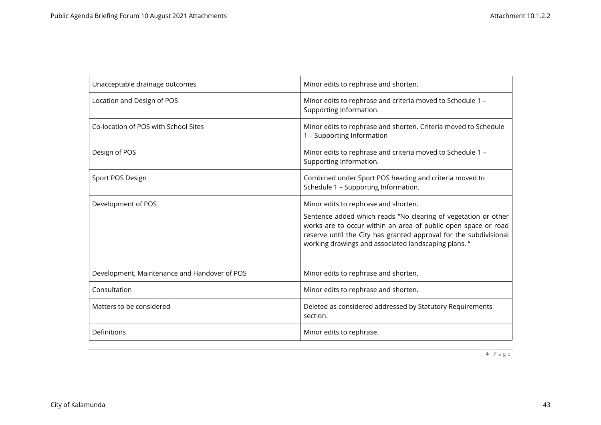| Unacceptable drainage outcomes               | Minor edits to rephrase and shorten.                                                                                                                                                                                                                          |
|----------------------------------------------|---------------------------------------------------------------------------------------------------------------------------------------------------------------------------------------------------------------------------------------------------------------|
| Location and Design of POS                   | Minor edits to rephrase and criteria moved to Schedule 1 -<br>Supporting Information.                                                                                                                                                                         |
| Co-location of POS with School Sites         | Minor edits to rephrase and shorten. Criteria moved to Schedule<br>1 - Supporting Information                                                                                                                                                                 |
| Design of POS                                | Minor edits to rephrase and criteria moved to Schedule 1 -<br>Supporting Information.                                                                                                                                                                         |
| Sport POS Design                             | Combined under Sport POS heading and criteria moved to<br>Schedule 1 - Supporting Information.                                                                                                                                                                |
| Development of POS                           | Minor edits to rephrase and shorten.                                                                                                                                                                                                                          |
|                                              | Sentence added which reads "No clearing of vegetation or other<br>works are to occur within an area of public open space or road<br>reserve until the City has granted approval for the subdivisional<br>working drawings and associated landscaping plans. " |
| Development, Maintenance and Handover of POS | Minor edits to rephrase and shorten.                                                                                                                                                                                                                          |
| Consultation                                 | Minor edits to rephrase and shorten.                                                                                                                                                                                                                          |
| Matters to be considered                     | Deleted as considered addressed by Statutory Requirements<br>section.                                                                                                                                                                                         |
| Definitions                                  | Minor edits to rephrase.                                                                                                                                                                                                                                      |

 $\boxed{4 | P a g e}$